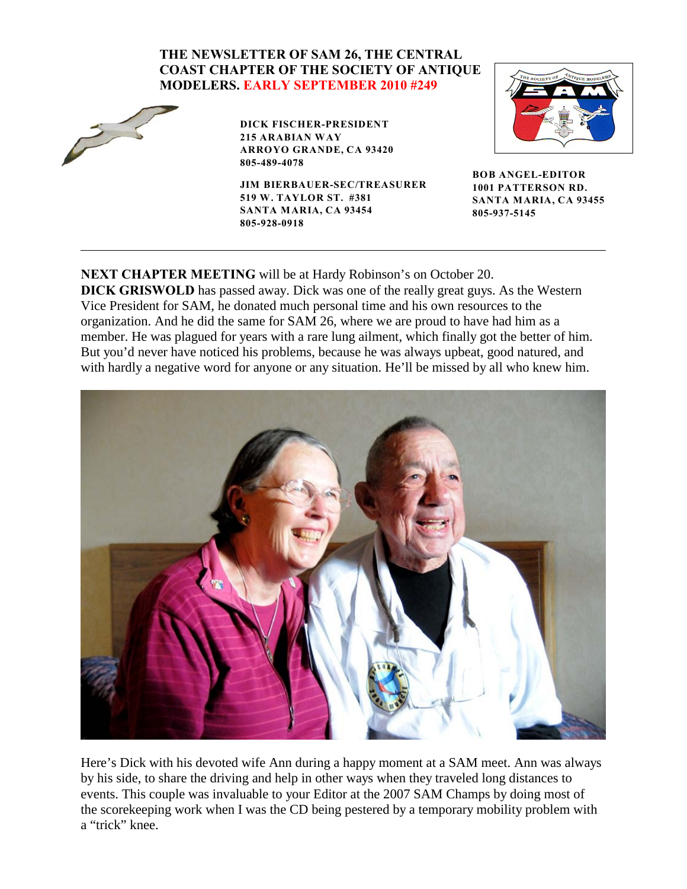## **THE NEWSLETTER OF SAM 26, THE CENTRAL COAST CHAPTER OF THE SOCIETY OF ANTIQUE MODELERS. EARLY SEPTEMBER 2010 #249**



**DICK FISCHER-PRESIDENT 215 ARABIAN WAY ARROYO GRANDE, CA 93420 805-489-4078**

**JIM BIERBAUER-SEC/TREASURER 519 W. TAYLOR ST. #381 SANTA MARIA, CA 93454 805-928-0918**



**BOB ANGEL-EDITOR 1001 PATTERSON RD. SANTA MARIA, CA 93455 805-937-5145**

**NEXT CHAPTER MEETING** will be at Hardy Robinson's on October 20. **DICK GRISWOLD** has passed away. Dick was one of the really great guys. As the Western Vice President for SAM, he donated much personal time and his own resources to the organization. And he did the same for SAM 26, where we are proud to have had him as a member. He was plagued for years with a rare lung ailment, which finally got the better of him. But you'd never have noticed his problems, because he was always upbeat, good natured, and with hardly a negative word for anyone or any situation. He'll be missed by all who knew him.



Here's Dick with his devoted wife Ann during a happy moment at a SAM meet. Ann was always by his side, to share the driving and help in other ways when they traveled long distances to events. This couple was invaluable to your Editor at the 2007 SAM Champs by doing most of the scorekeeping work when I was the CD being pestered by a temporary mobility problem with a "trick" knee.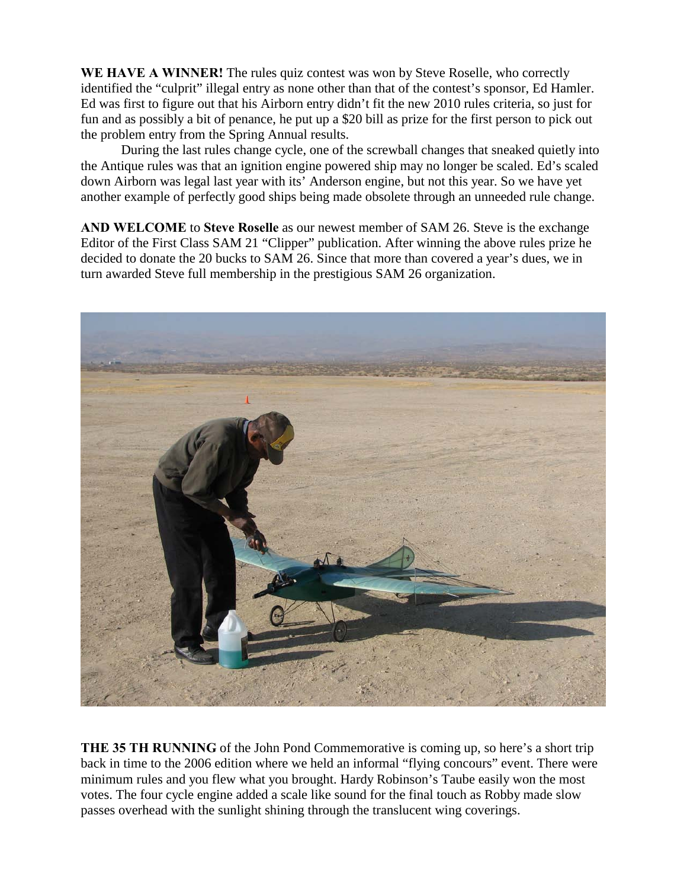**WE HAVE A WINNER!** The rules quiz contest was won by Steve Roselle, who correctly identified the "culprit" illegal entry as none other than that of the contest's sponsor, Ed Hamler. Ed was first to figure out that his Airborn entry didn't fit the new 2010 rules criteria, so just for fun and as possibly a bit of penance, he put up a \$20 bill as prize for the first person to pick out the problem entry from the Spring Annual results.

During the last rules change cycle, one of the screwball changes that sneaked quietly into the Antique rules was that an ignition engine powered ship may no longer be scaled. Ed's scaled down Airborn was legal last year with its' Anderson engine, but not this year. So we have yet another example of perfectly good ships being made obsolete through an unneeded rule change.

**AND WELCOME** to **Steve Roselle** as our newest member of SAM 26. Steve is the exchange Editor of the First Class SAM 21 "Clipper" publication. After winning the above rules prize he decided to donate the 20 bucks to SAM 26. Since that more than covered a year's dues, we in turn awarded Steve full membership in the prestigious SAM 26 organization.



**THE 35 TH RUNNING** of the John Pond Commemorative is coming up, so here's a short trip back in time to the 2006 edition where we held an informal "flying concours" event. There were minimum rules and you flew what you brought. Hardy Robinson's Taube easily won the most votes. The four cycle engine added a scale like sound for the final touch as Robby made slow passes overhead with the sunlight shining through the translucent wing coverings.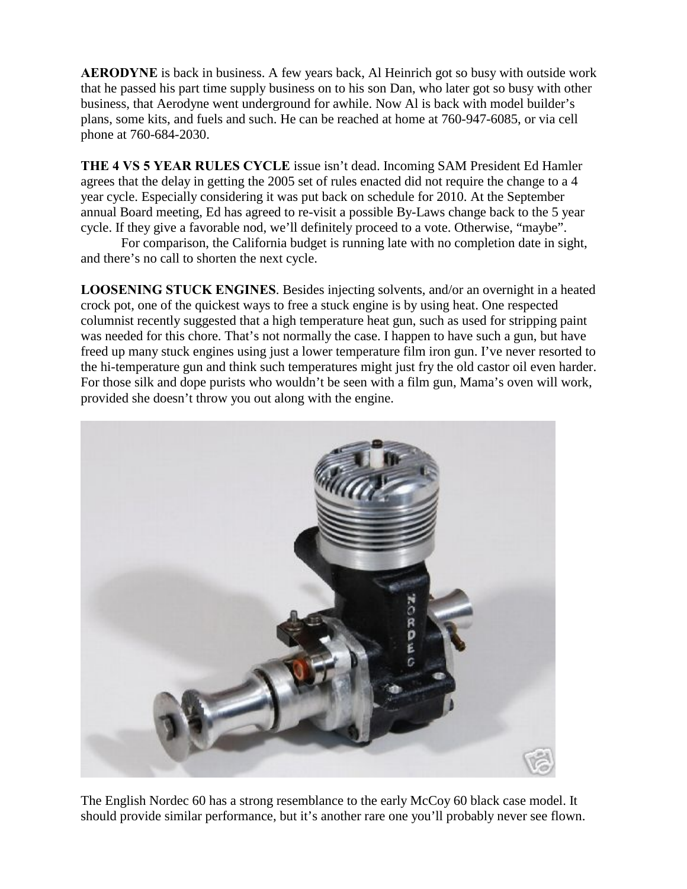**AERODYNE** is back in business. A few years back, Al Heinrich got so busy with outside work that he passed his part time supply business on to his son Dan, who later got so busy with other business, that Aerodyne went underground for awhile. Now Al is back with model builder's plans, some kits, and fuels and such. He can be reached at home at 760-947-6085, or via cell phone at 760-684-2030.

**THE 4 VS 5 YEAR RULES CYCLE** issue isn't dead. Incoming SAM President Ed Hamler agrees that the delay in getting the 2005 set of rules enacted did not require the change to a 4 year cycle. Especially considering it was put back on schedule for 2010. At the September annual Board meeting, Ed has agreed to re-visit a possible By-Laws change back to the 5 year cycle. If they give a favorable nod, we'll definitely proceed to a vote. Otherwise, "maybe".

For comparison, the California budget is running late with no completion date in sight, and there's no call to shorten the next cycle.

**LOOSENING STUCK ENGINES**. Besides injecting solvents, and/or an overnight in a heated crock pot, one of the quickest ways to free a stuck engine is by using heat. One respected columnist recently suggested that a high temperature heat gun, such as used for stripping paint was needed for this chore. That's not normally the case. I happen to have such a gun, but have freed up many stuck engines using just a lower temperature film iron gun. I've never resorted to the hi-temperature gun and think such temperatures might just fry the old castor oil even harder. For those silk and dope purists who wouldn't be seen with a film gun, Mama's oven will work, provided she doesn't throw you out along with the engine.



The English Nordec 60 has a strong resemblance to the early McCoy 60 black case model. It should provide similar performance, but it's another rare one you'll probably never see flown.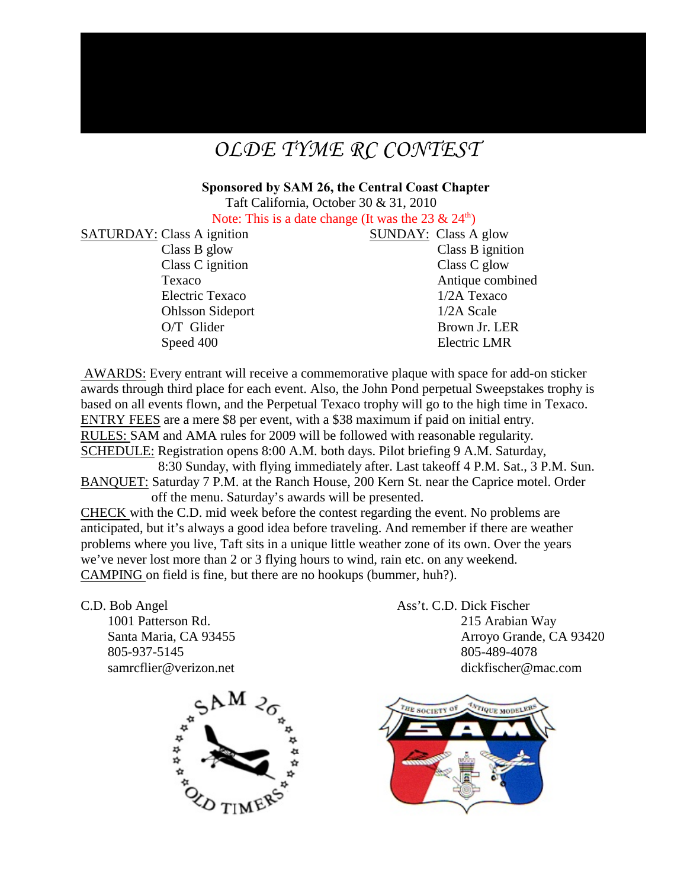## *OLDE TYME RC CONTEST*

**Sponsored by SAM 26, the Central Coast Chapter** Taft California, October 30 & 31, 2010

Note: This is a date change (It was the 23  $\&$  24<sup>th</sup>)

SATURDAY: Class A ignition SUNDAY: Class A glow Class B glow Class B ignition Class C ignition Class C glow Electric Texaco 1/2A Texaco Ohlsson Sideport 1/2A Scale O/T Glider Brown Jr. LER

Texaco Antique combined Speed 400 Electric LMR

 AWARDS: Every entrant will receive a commemorative plaque with space for add-on sticker awards through third place for each event. Also, the John Pond perpetual Sweepstakes trophy is based on all events flown, and the Perpetual Texaco trophy will go to the high time in Texaco. ENTRY FEES are a mere \$8 per event, with a \$38 maximum if paid on initial entry. RULES: SAM and AMA rules for 2009 will be followed with reasonable regularity. SCHEDULE: Registration opens 8:00 A.M. both days. Pilot briefing 9 A.M. Saturday, 8:30 Sunday, with flying immediately after. Last takeoff 4 P.M. Sat., 3 P.M. Sun. BANQUET: Saturday 7 P.M. at the Ranch House, 200 Kern St. near the Caprice motel. Order

 off the menu. Saturday's awards will be presented. CHECK with the C.D. mid week before the contest regarding the event. No problems are anticipated, but it's always a good idea before traveling. And remember if there are weather problems where you live, Taft sits in a unique little weather zone of its own. Over the years we've never lost more than 2 or 3 flying hours to wind, rain etc. on any weekend. CAMPING on field is fine, but there are no hookups (bummer, huh?).

C.D. Bob Angel Ass't. C.D. Dick Fischer 805-937-5145 805-489-4078

 1001 Patterson Rd. 215 Arabian Way Santa Maria, CA 93455 Arroyo Grande, CA 93420 samrcflier@verizon.net dickfischer@mac.com



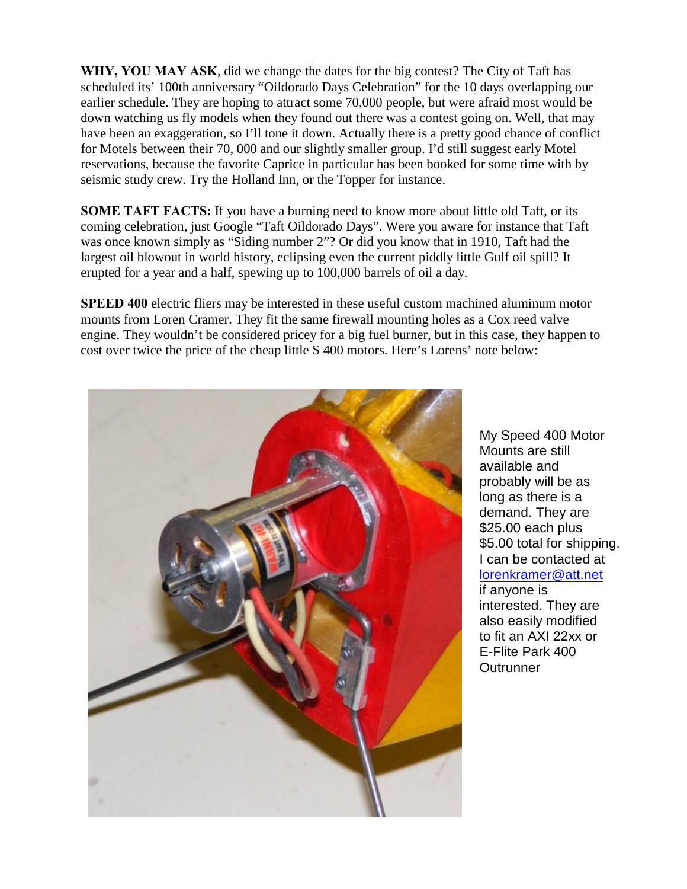**WHY, YOU MAY ASK**, did we change the dates for the big contest? The City of Taft has scheduled its' 100th anniversary "Oildorado Days Celebration" for the 10 days overlapping our earlier schedule. They are hoping to attract some 70,000 people, but were afraid most would be down watching us fly models when they found out there was a contest going on. Well, that may have been an exaggeration, so I'll tone it down. Actually there is a pretty good chance of conflict for Motels between their 70, 000 and our slightly smaller group. I'd still suggest early Motel reservations, because the favorite Caprice in particular has been booked for some time with by seismic study crew. Try the Holland Inn, or the Topper for instance.

**SOME TAFT FACTS:** If you have a burning need to know more about little old Taft, or its coming celebration, just Google "Taft Oildorado Days". Were you aware for instance that Taft was once known simply as "Siding number 2"? Or did you know that in 1910, Taft had the largest oil blowout in world history, eclipsing even the current piddly little Gulf oil spill? It erupted for a year and a half, spewing up to 100,000 barrels of oil a day.

**SPEED 400** electric fliers may be interested in these useful custom machined aluminum motor mounts from Loren Cramer. They fit the same firewall mounting holes as a Cox reed valve engine. They wouldn't be considered pricey for a big fuel burner, but in this case, they happen to cost over twice the price of the cheap little S 400 motors. Here's Lorens' note below:



My Speed 400 Motor Mounts are still available and probably will be as long as there is a demand. They are \$25.00 each plus \$5.00 total for shipping. I can be contacted at [lorenkramer@att.net](file:///|//_blank) if anyone is interested. They are also easily modified to fit an AXI 22xx or E-Flite Park 400 **Outrunner**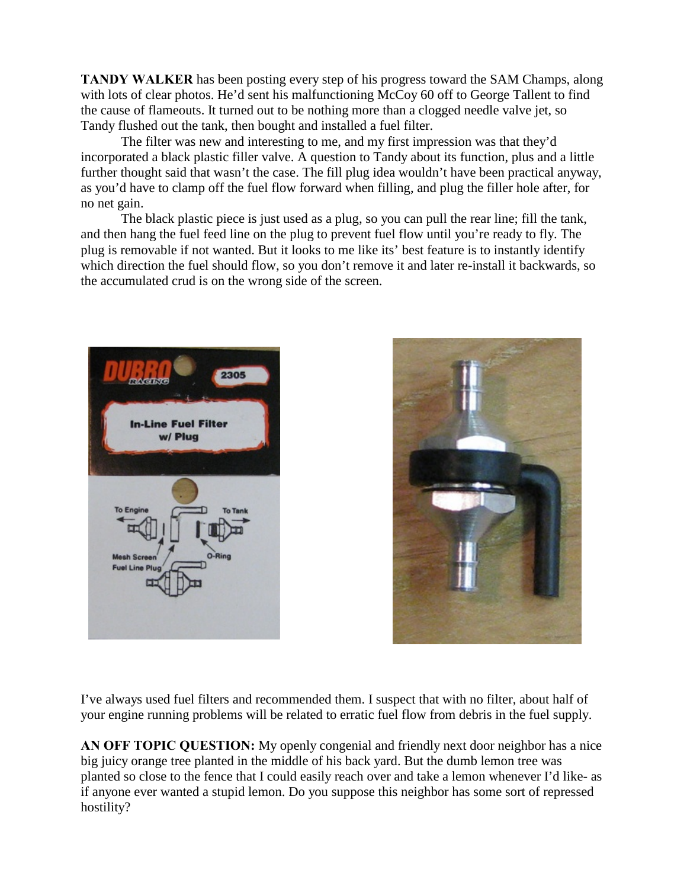**TANDY WALKER** has been posting every step of his progress toward the SAM Champs, along with lots of clear photos. He'd sent his malfunctioning McCoy 60 off to George Tallent to find the cause of flameouts. It turned out to be nothing more than a clogged needle valve jet, so Tandy flushed out the tank, then bought and installed a fuel filter.

The filter was new and interesting to me, and my first impression was that they'd incorporated a black plastic filler valve. A question to Tandy about its function, plus and a little further thought said that wasn't the case. The fill plug idea wouldn't have been practical anyway, as you'd have to clamp off the fuel flow forward when filling, and plug the filler hole after, for no net gain.

The black plastic piece is just used as a plug, so you can pull the rear line; fill the tank, and then hang the fuel feed line on the plug to prevent fuel flow until you're ready to fly. The plug is removable if not wanted. But it looks to me like its' best feature is to instantly identify which direction the fuel should flow, so you don't remove it and later re-install it backwards, so the accumulated crud is on the wrong side of the screen.





I've always used fuel filters and recommended them. I suspect that with no filter, about half of your engine running problems will be related to erratic fuel flow from debris in the fuel supply.

**AN OFF TOPIC QUESTION:** My openly congenial and friendly next door neighbor has a nice big juicy orange tree planted in the middle of his back yard. But the dumb lemon tree was planted so close to the fence that I could easily reach over and take a lemon whenever I'd like- as if anyone ever wanted a stupid lemon. Do you suppose this neighbor has some sort of repressed hostility?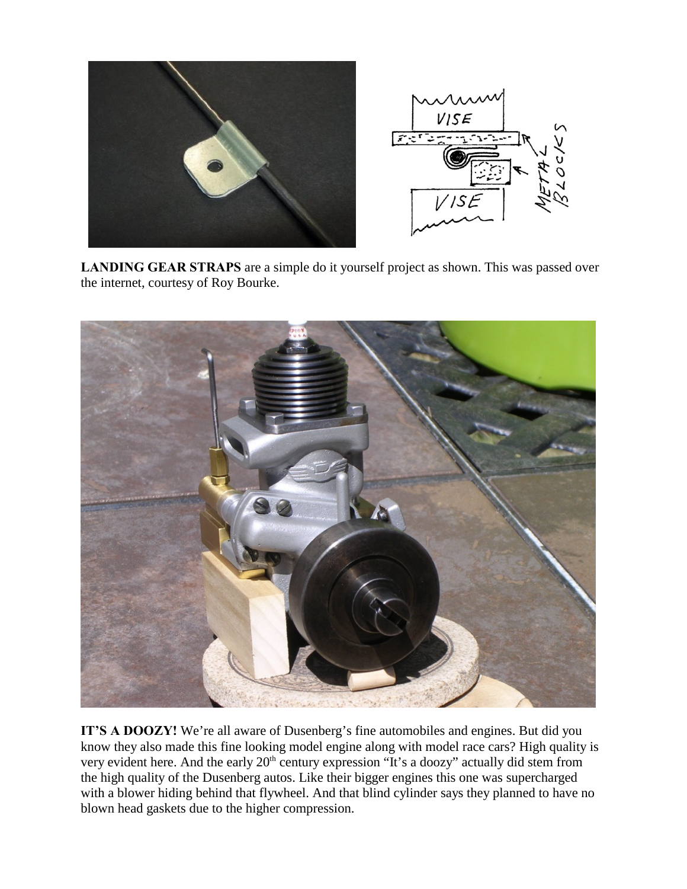

**LANDING GEAR STRAPS** are a simple do it yourself project as shown. This was passed over the internet, courtesy of Roy Bourke.



**IT'S A DOOZY!** We're all aware of Dusenberg's fine automobiles and engines. But did you know they also made this fine looking model engine along with model race cars? High quality is very evident here. And the early  $20<sup>th</sup>$  century expression "It's a doozy" actually did stem from the high quality of the Dusenberg autos. Like their bigger engines this one was supercharged with a blower hiding behind that flywheel. And that blind cylinder says they planned to have no blown head gaskets due to the higher compression.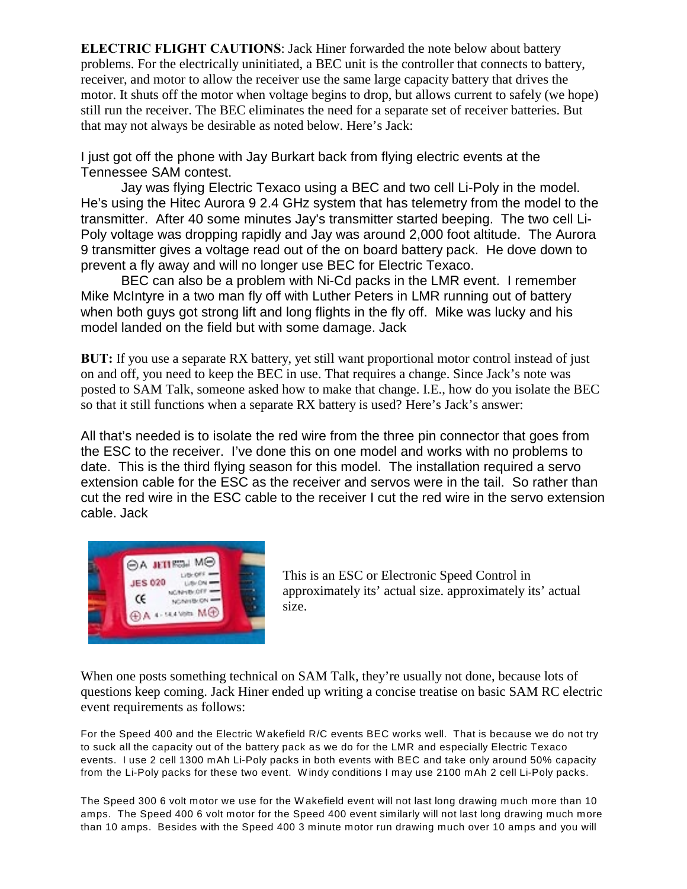**ELECTRIC FLIGHT CAUTIONS**: Jack Hiner forwarded the note below about battery problems. For the electrically uninitiated, a BEC unit is the controller that connects to battery, receiver, and motor to allow the receiver use the same large capacity battery that drives the motor. It shuts off the motor when voltage begins to drop, but allows current to safely (we hope) still run the receiver. The BEC eliminates the need for a separate set of receiver batteries. But that may not always be desirable as noted below. Here's Jack:

I just got off the phone with Jay Burkart back from flying electric events at the Tennessee SAM contest.

Jay was flying Electric Texaco using a BEC and two cell Li-Poly in the model. He's using the Hitec Aurora 9 2.4 GHz system that has telemetry from the model to the transmitter. After 40 some minutes Jay's transmitter started beeping. The two cell Li-Poly voltage was dropping rapidly and Jay was around 2,000 foot altitude. The Aurora 9 transmitter gives a voltage read out of the on board battery pack. He dove down to prevent a fly away and will no longer use BEC for Electric Texaco.

BEC can also be a problem with Ni-Cd packs in the LMR event. I remember Mike McIntyre in a two man fly off with Luther Peters in LMR running out of battery when both guys got strong lift and long flights in the fly off. Mike was lucky and his model landed on the field but with some damage. Jack

**BUT:** If you use a separate RX battery, yet still want proportional motor control instead of just on and off, you need to keep the BEC in use. That requires a change. Since Jack's note was posted to SAM Talk, someone asked how to make that change. I.E., how do you isolate the BEC so that it still functions when a separate RX battery is used? Here's Jack's answer:

All that's needed is to isolate the red wire from the three pin connector that goes from the ESC to the receiver. I've done this on one model and works with no problems to date. This is the third flying season for this model. The installation required a servo extension cable for the ESC as the receiver and servos were in the tail. So rather than cut the red wire in the ESC cable to the receiver I cut the red wire in the servo extension cable. Jack



This is an ESC or Electronic Speed Control in approximately its' actual size. approximately its' actual size.

When one posts something technical on SAM Talk, they're usually not done, because lots of questions keep coming. Jack Hiner ended up writing a concise treatise on basic SAM RC electric event requirements as follows:

For the Speed 400 and the Electric W akefield R/C events BEC works well. That is because we do not try to suck all the capacity out of the battery pack as we do for the LMR and especially Electric Texaco events. I use 2 cell 1300 mAh Li-Poly packs in both events with BEC and take only around 50% capacity from the Li-Poly packs for these two event. W indy conditions I may use 2100 mAh 2 cell Li-Poly packs.

The Speed 300 6 volt motor we use for the W akefield event will not last long drawing much more than 10 amps. The Speed 400 6 volt motor for the Speed 400 event similarly will not last long drawing much more than 10 amps. Besides with the Speed 400 3 minute motor run drawing much over 10 amps and you will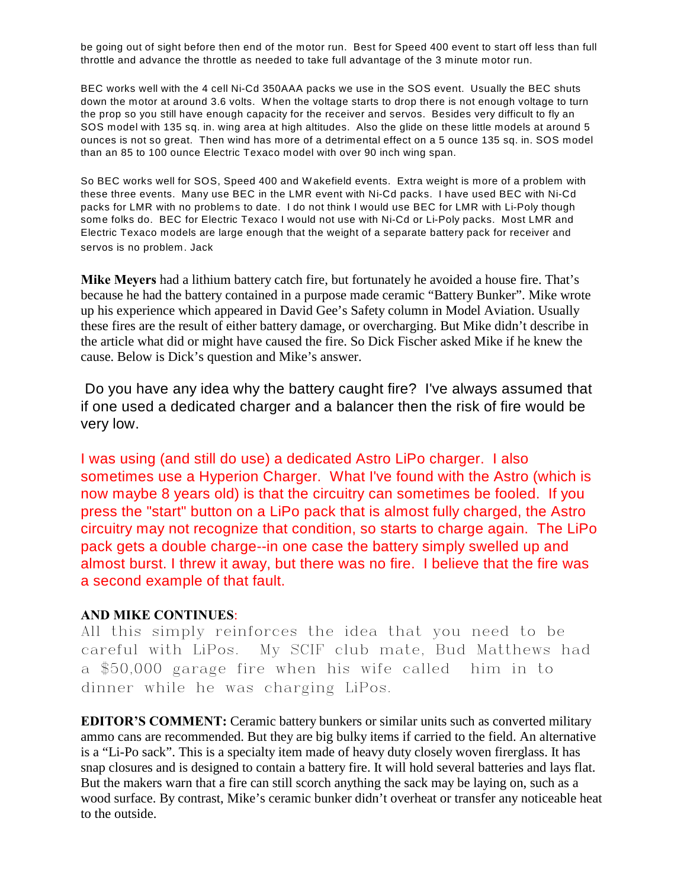be going out of sight before then end of the motor run. Best for Speed 400 event to start off less than full throttle and advance the throttle as needed to take full advantage of the 3 minute motor run.

BEC works well with the 4 cell Ni-Cd 350AAA packs we use in the SOS event. Usually the BEC shuts down the motor at around 3.6 volts. W hen the voltage starts to drop there is not enough voltage to turn the prop so you still have enough capacity for the receiver and servos. Besides very difficult to fly an SOS model with 135 sq. in. wing area at high altitudes. Also the glide on these little models at around 5 ounces is not so great. Then wind has more of a detrimental effect on a 5 ounce 135 sq. in. SOS model than an 85 to 100 ounce Electric Texaco model with over 90 inch wing span.

So BEC works well for SOS, Speed 400 and W akefield events. Extra weight is more of a problem with these three events. Many use BEC in the LMR event with Ni-Cd packs. I have used BEC with Ni-Cd packs for LMR with no problems to date. I do not think I would use BEC for LMR with Li-Poly though some folks do. BEC for Electric Texaco I would not use with Ni-Cd or Li-Poly packs. Most LMR and Electric Texaco models are large enough that the weight of a separate battery pack for receiver and servos is no problem. Jack

**Mike Meyers** had a lithium battery catch fire, but fortunately he avoided a house fire. That's because he had the battery contained in a purpose made ceramic "Battery Bunker". Mike wrote up his experience which appeared in David Gee's Safety column in Model Aviation. Usually these fires are the result of either battery damage, or overcharging. But Mike didn't describe in the article what did or might have caused the fire. So Dick Fischer asked Mike if he knew the cause. Below is Dick's question and Mike's answer.

 Do you have any idea why the battery caught fire? I've always assumed that if one used a dedicated charger and a balancer then the risk of fire would be very low.

I was using (and still do use) a dedicated Astro LiPo charger. I also sometimes use a Hyperion Charger. What I've found with the Astro (which is now maybe 8 years old) is that the circuitry can sometimes be fooled. If you press the "start" button on a LiPo pack that is almost fully charged, the Astro circuitry may not recognize that condition, so starts to charge again. The LiPo pack gets a double charge--in one case the battery simply swelled up and almost burst. I threw it away, but there was no fire. I believe that the fire was a second example of that fault.

## **AND MIKE CONTINUES**:

All this simply reinforces the idea that you need to be careful with LiPos. My SCIF club mate, Bud Matthews had a \$50,000 garage fire when his wife called him in to dinner while he was charging LiPos.

**EDITOR'S COMMENT:** Ceramic battery bunkers or similar units such as converted military ammo cans are recommended. But they are big bulky items if carried to the field. An alternative is a "Li-Po sack". This is a specialty item made of heavy duty closely woven firerglass. It has snap closures and is designed to contain a battery fire. It will hold several batteries and lays flat. But the makers warn that a fire can still scorch anything the sack may be laying on, such as a wood surface. By contrast, Mike's ceramic bunker didn't overheat or transfer any noticeable heat to the outside.